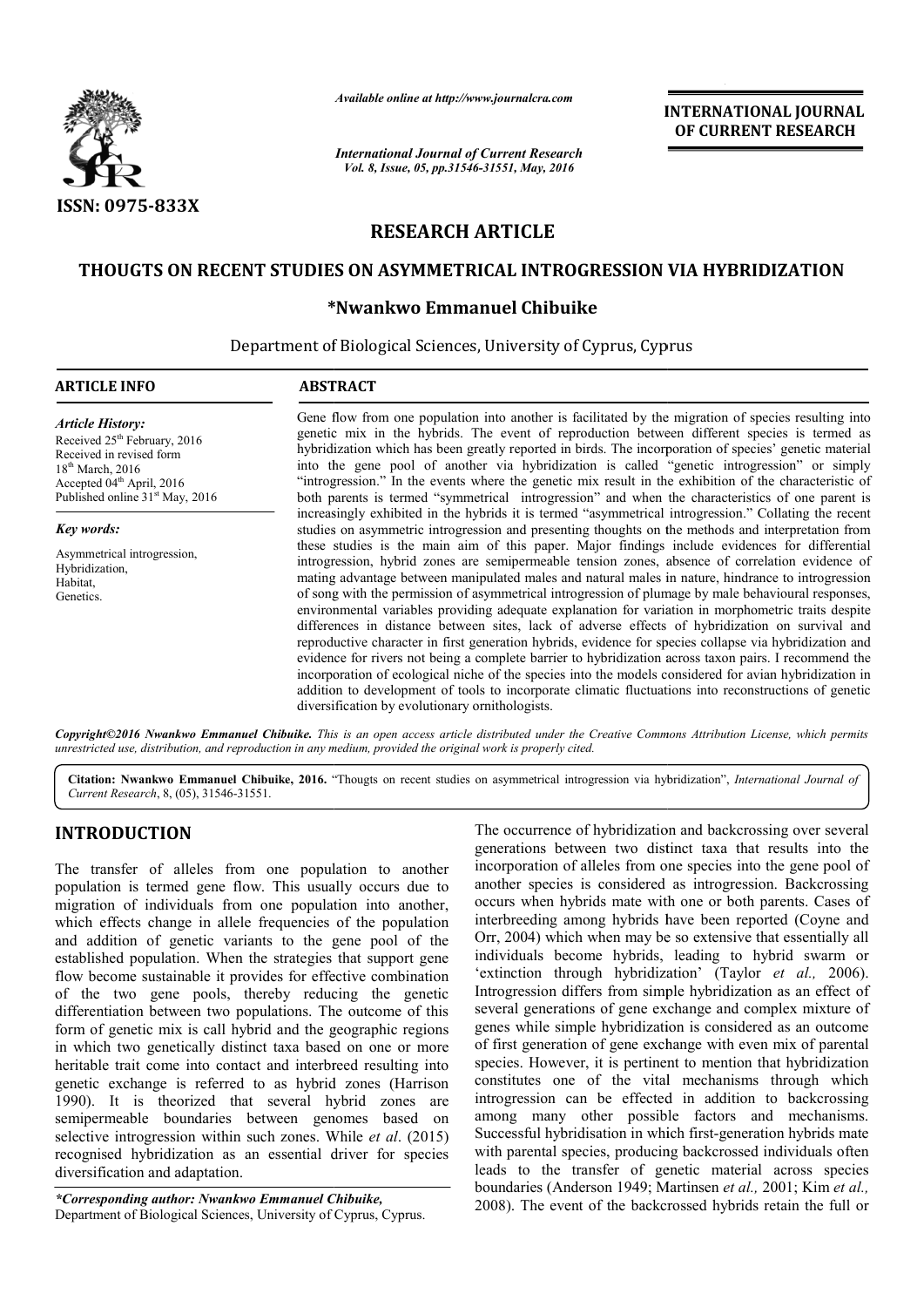

*Available online at http://www.journalcra.com*

*International Journal of Current Research Vol. 8, Issue, 05, pp.31546-31551, May, 2016*

**INTERNATIONAL JOURNAL OF CURRENT RESEARCH** 

# **RESEARCH ARTICLE**

### **THOUGTS ON RECENT STUDIES ON ASYMMETRICAL INTROGRESSION VIA HYBRIDIZATION ON ASYMMETRICAL**

## **\* \*Nwankwo Emmanuel Chibuike**

Department of Biological Sciences, University of Cyprus, Cyprus

#### **ARTICLE INFO ABSTRACT** Gene flow from one population into another is facilitated by the migration of species resulting into genetic mix in the hybrids. The event of reproduction between different species is termed as hybridization which has been greatly reported in birds. The incorporation of species' genetic material into the gene pool of another via hybridization is called "genetic introgression" or simply "introgre "introgression." In the events where the genetic mix result in the exhibition of the characteristic of both parents is termed "symmetrical introgression" and when the characteristics of one parent is increasingly exhibited in the hybrids it is termed "asymmetrical introgression." Collating the recent studies on asymmetric introgression and presenting thoughts on the methods and interpretation from these studies is the main aim of this paper. Major findings include evidences for differential introgression, hybrid zones are semipermeable tension zones, absence of correlation evidence of mating advantage between manipulated males and natural males in nature, hindrance to introgression of song with the permission of asymmetrical introgression of plumage by male behaviou environmental variables providing adequate explanation for variation in morphometric traits despite differences in distance between sites, lack of adverse effects of hybridization on survival and reproductive character in first generation hybrids, evidence for species collapse via hybridization and evidence for rivers not being a complete barrier to hybridization across taxon pairs. I recommend the incorporation of ecological niche of the species into the models considered for avian hybridiza addition to development of tools to incorporate climatic fluctuations into reconstructions of genetic diversification by evolutionary ornithologists. *Copyright©2016 Nwankwo Emmanuel Chibuike. This is an open access article distributed under the Creative Commons Att Commons Attribution License, which permits Article History:* Received 25<sup>th</sup> February, 2016 Received in revised form 18th March, 2016 Accepted 04<sup>th</sup> April, 2016 Published online 31<sup>st</sup> May, 2016 *Key words:* Asymmetrical introgression, Hybridization, Habitat, Genetics.  $\overline{a}$ Gene flow from one population into another is facilitated by the migration of species resulting into genetic mix in the hybrids. The event of reproduction between different species is termed as hybridization which has been studies on asymmetric introgression and presenting thoughts on the methods and interpretation from these studies is the main aim of this paper. Major findings include evidences for differential introgression, hybrid zones environmental variables providing adequate explanation for variation in morphometric traits despite differences in distance between sites, lack of adverse effects of hybridization on survival and reproductive character in

*unrestricted use, distribution, and reproduction in any medium, provided the original work is properly cited.*

Citation: Nwankwo Emmanuel Chibuike, 2016. "Thougts on recent studies on asymmetrical introgression via hybridization", *International Journal of Current Research*, 8, (05), 31546-31551.

### **INTRODUCTION**

The transfer of alleles from one population to another population is termed gene flow. This usually occurs due to migration of individuals from one population into another, which effects change in allele frequencies of the population and addition of genetic variants to the gene pool of the established population. When the strategies that support gene flow become sustainable it provides for effective combination of the two gene pools, thereby reducing the genetic differentiation between two populations. The outcome of this form of genetic mix is call hybrid and the geographic regions in which two genetically distinct taxa based on one or more heritable trait come into contact and interbreed resulting into genetic exchange is referred to as hybrid zones (Harrison 1990). It is theorized that several hybrid zones are semipermeable boundaries between genomes based on selective introgression within such zones. While *et al*. (2015) recognised hybridization as an essential driver for species diversification and adaptation. enetically distinct taxa based on one into contact and interbreed rose is referred to as hybrid zone theorized that several hybrid boundaries between genomes

*\*Corresponding author: Nwankwo Emmanuel Chibuike Chibuike,* Department of Biological Sciences, University of Cyprus, Cyprus Cyprus. The occurrence of hybridization and backcrossing over several generations between two distinct taxa that results into the incorporation of alleles from one species into the gene pool of another species is considered as introgression. Backcrossing occurs when hybrids mate with one or both parents. Cases of interbreeding among hybrids have been reported (Coyne Orr, 2004) which when may be so extensive that essentially all individuals become hybrids, leading to hybrid swarm or Orr, 2004) which when may be so extensive that essentially all individuals become hybrids, leading to hybrid swarm or 'extinction through hybridization' (Taylor *et al.,* 2006). Introgression differs from simple hybridization as an effect of several generations of gene exchange and complex mixture of genes while simple hybridization is considered as an outcome of first generation of gene exchange with even mix of parental species. However, it is pertinent to mention that hybridization constitutes one of the vital mechanisms through which introgression can be effected in addition to backcrossing among many other possible factors and mechanisms. Successful hybridisation in which first-generation hybrids mate with parental species, producing backcrossed individuals often leads to the transfer of genetic material across species boundaries (Anderson 1949; Martinsen et al., 2001; Kim et al., 2008). The event of the backcrossed hybrids retain the full or The occurrence of hybridization and backcrossing over several generations between two distinct taxa that results into the incorporation of alleles from one species into the gene pool of another species is considered as int from simple hybridization as an effect of<br>s of gene exchange and complex mixture of<br>e hybridization is considered as an outcome<br>of gene exchange with even mix of parental es one of the vital mechanisms through which is<br>ion can be effected in addition to backcrossing<br>many other possible factors and mechanisms.<br>in hybridisation in which first-generation hybrids mate parental species, producing backcrossed individuals often<br>to the transfer of genetic material across species<br>daries (Anderson 1949; Martinsen *et al.*, 2001; Kim *et al.*, **NATIONAL JOURNAL**<br> **URRENT RESEARCH**<br> **URRENT RESEARCH**<br> **URRENT RESEARCH**<br> **URRENT RESEARCH**<br> **OF SPECT AND AND AND SET AND AND SET AND THEOTESSION** of the characteristic in of the characteristic of one parent is<br>
rate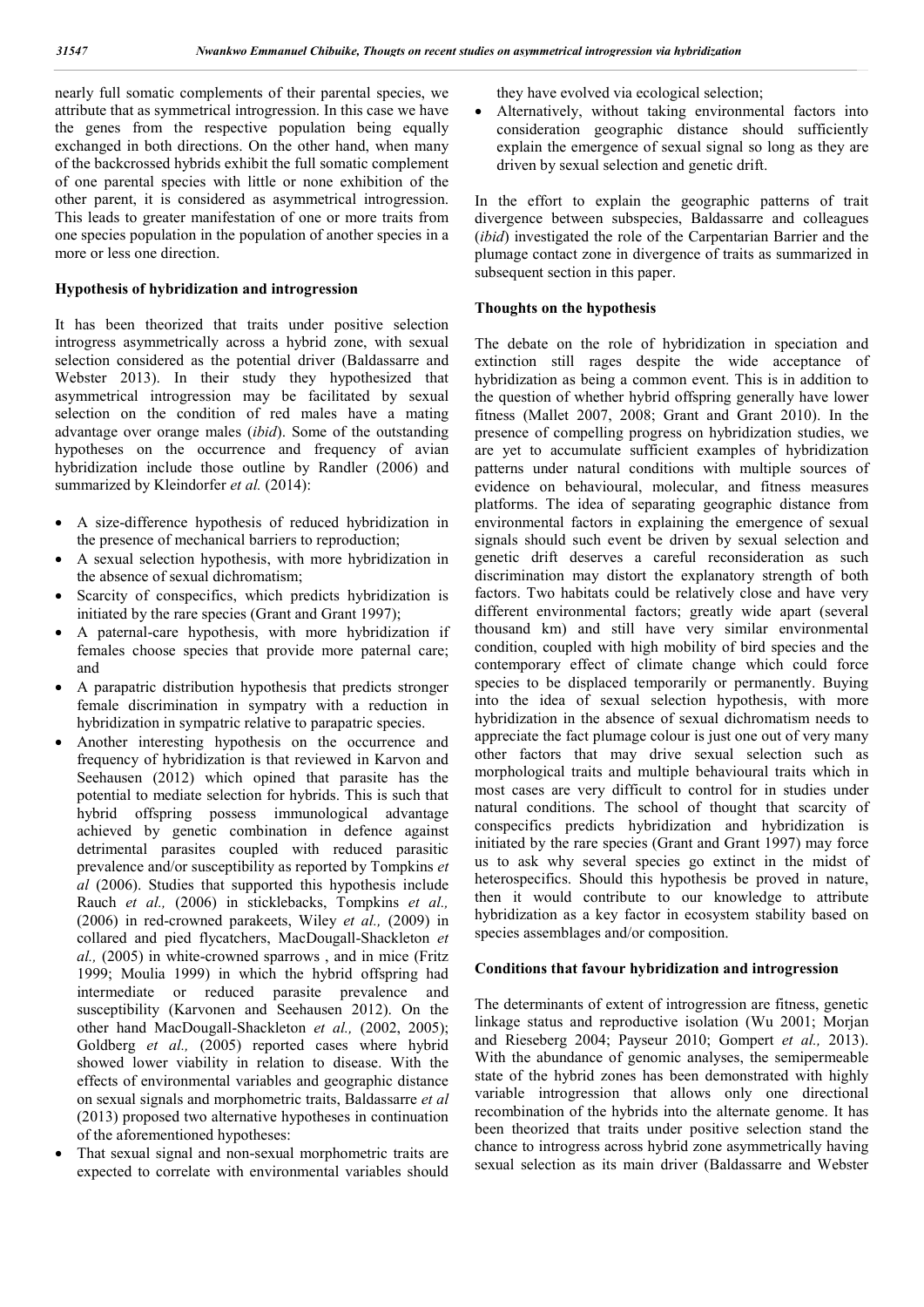nearly full somatic complements of their parental species, we attribute that as symmetrical introgression. In this case we have the genes from the respective population being equally exchanged in both directions. On the other hand, when many of the backcrossed hybrids exhibit the full somatic complement of one parental species with little or none exhibition of the other parent, it is considered as asymmetrical introgression. This leads to greater manifestation of one or more traits from one species population in the population of another species in a more or less one direction.

#### **Hypothesis of hybridization and introgression**

It has been theorized that traits under positive selection introgress asymmetrically across a hybrid zone, with sexual selection considered as the potential driver (Baldassarre and Webster 2013). In their study they hypothesized that asymmetrical introgression may be facilitated by sexual selection on the condition of red males have a mating advantage over orange males (*ibid*). Some of the outstanding hypotheses on the occurrence and frequency of avian hybridization include those outline by Randler (2006) and summarized by Kleindorfer *et al.* (2014):

- A size-difference hypothesis of reduced hybridization in the presence of mechanical barriers to reproduction;
- A sexual selection hypothesis, with more hybridization in the absence of sexual dichromatism;
- Scarcity of conspecifics, which predicts hybridization is initiated by the rare species (Grant and Grant 1997);
- A paternal-care hypothesis, with more hybridization if females choose species that provide more paternal care; and
- A parapatric distribution hypothesis that predicts stronger female discrimination in sympatry with a reduction in hybridization in sympatric relative to parapatric species.
- Another interesting hypothesis on the occurrence and frequency of hybridization is that reviewed in Karvon and Seehausen (2012) which opined that parasite has the potential to mediate selection for hybrids. This is such that hybrid offspring possess immunological advantage achieved by genetic combination in defence against detrimental parasites coupled with reduced parasitic prevalence and/or susceptibility as reported by Tompkins *et al* (2006). Studies that supported this hypothesis include Rauch *et al.,* (2006) in sticklebacks, Tompkins *et al.,* (2006) in red-crowned parakeets, Wiley *et al.,* (2009) in collared and pied flycatchers, MacDougall-Shackleton *et al.,* (2005) in white-crowned sparrows , and in mice (Fritz 1999; Moulia 1999) in which the hybrid offspring had intermediate or reduced parasite prevalence and susceptibility (Karvonen and Seehausen 2012). On the other hand MacDougall-Shackleton *et al.,* (2002, 2005); Goldberg *et al.,* (2005) reported cases where hybrid showed lower viability in relation to disease. With the effects of environmental variables and geographic distance on sexual signals and morphometric traits, Baldassarre *et al* (2013) proposed two alternative hypotheses in continuation of the aforementioned hypotheses:
- That sexual signal and non-sexual morphometric traits are expected to correlate with environmental variables should

they have evolved via ecological selection;

 Alternatively, without taking environmental factors into consideration geographic distance should sufficiently explain the emergence of sexual signal so long as they are driven by sexual selection and genetic drift.

In the effort to explain the geographic patterns of trait divergence between subspecies, Baldassarre and colleagues (*ibid*) investigated the role of the Carpentarian Barrier and the plumage contact zone in divergence of traits as summarized in subsequent section in this paper.

#### **Thoughts on the hypothesis**

The debate on the role of hybridization in speciation and extinction still rages despite the wide acceptance of hybridization as being a common event. This is in addition to the question of whether hybrid offspring generally have lower fitness (Mallet 2007, 2008; Grant and Grant 2010). In the presence of compelling progress on hybridization studies, we are yet to accumulate sufficient examples of hybridization patterns under natural conditions with multiple sources of evidence on behavioural, molecular, and fitness measures platforms. The idea of separating geographic distance from environmental factors in explaining the emergence of sexual signals should such event be driven by sexual selection and genetic drift deserves a careful reconsideration as such discrimination may distort the explanatory strength of both factors. Two habitats could be relatively close and have very different environmental factors; greatly wide apart (several thousand km) and still have very similar environmental condition, coupled with high mobility of bird species and the contemporary effect of climate change which could force species to be displaced temporarily or permanently. Buying into the idea of sexual selection hypothesis, with more hybridization in the absence of sexual dichromatism needs to appreciate the fact plumage colour is just one out of very many other factors that may drive sexual selection such as morphological traits and multiple behavioural traits which in most cases are very difficult to control for in studies under natural conditions. The school of thought that scarcity of conspecifics predicts hybridization and hybridization is initiated by the rare species (Grant and Grant 1997) may force us to ask why several species go extinct in the midst of heterospecifics. Should this hypothesis be proved in nature, then it would contribute to our knowledge to attribute hybridization as a key factor in ecosystem stability based on species assemblages and/or composition.

#### **Conditions that favour hybridization and introgression**

The determinants of extent of introgression are fitness, genetic linkage status and reproductive isolation (Wu 2001; Morjan and Rieseberg 2004; Payseur 2010; Gompert *et al.,* 2013). With the abundance of genomic analyses, the semipermeable state of the hybrid zones has been demonstrated with highly variable introgression that allows only one directional recombination of the hybrids into the alternate genome. It has been theorized that traits under positive selection stand the chance to introgress across hybrid zone asymmetrically having sexual selection as its main driver (Baldassarre and Webster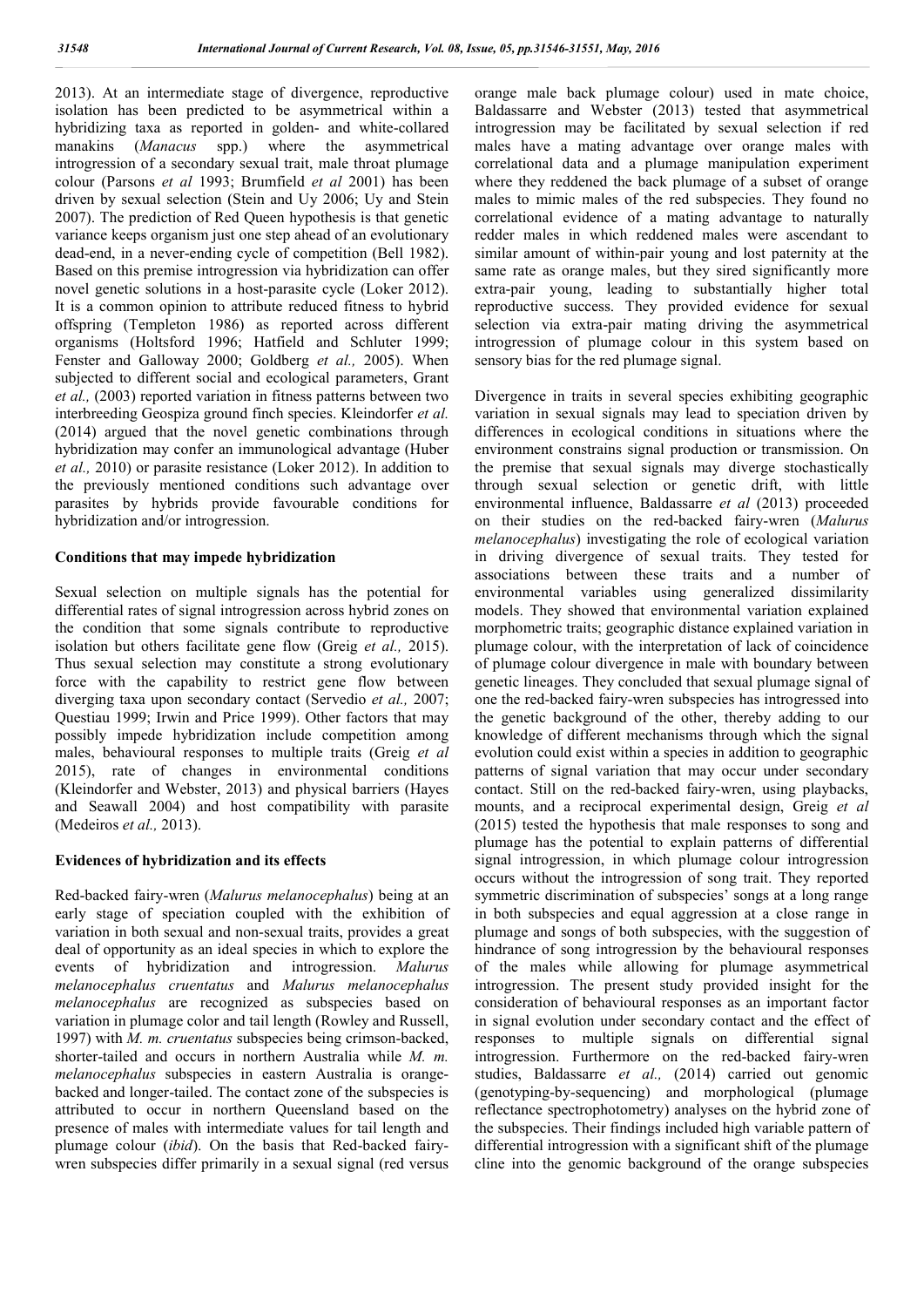2013). At an intermediate stage of divergence, reproductive isolation has been predicted to be asymmetrical within a hybridizing taxa as reported in golden- and white-collared manakins (*Manacus* spp.) where the asymmetrical introgression of a secondary sexual trait, male throat plumage colour (Parsons *et al* 1993; Brumfield *et al* 2001) has been driven by sexual selection (Stein and Uy 2006; Uy and Stein 2007). The prediction of Red Queen hypothesis is that genetic variance keeps organism just one step ahead of an evolutionary dead-end, in a never-ending cycle of competition (Bell 1982). Based on this premise introgression via hybridization can offer novel genetic solutions in a host-parasite cycle (Loker 2012). It is a common opinion to attribute reduced fitness to hybrid offspring (Templeton 1986) as reported across different organisms (Holtsford 1996; Hatfield and Schluter 1999; Fenster and Galloway 2000; Goldberg *et al.,* 2005). When subjected to different social and ecological parameters, Grant *et al.,* (2003) reported variation in fitness patterns between two interbreeding Geospiza ground finch species. Kleindorfer *et al.* (2014) argued that the novel genetic combinations through hybridization may confer an immunological advantage (Huber *et al.,* 2010) or parasite resistance (Loker 2012). In addition to the previously mentioned conditions such advantage over parasites by hybrids provide favourable conditions for hybridization and/or introgression.

#### **Conditions that may impede hybridization**

Sexual selection on multiple signals has the potential for differential rates of signal introgression across hybrid zones on the condition that some signals contribute to reproductive isolation but others facilitate gene flow (Greig *et al.,* 2015). Thus sexual selection may constitute a strong evolutionary force with the capability to restrict gene flow between diverging taxa upon secondary contact (Servedio *et al.,* 2007; Questiau 1999; Irwin and Price 1999). Other factors that may possibly impede hybridization include competition among males, behavioural responses to multiple traits (Greig *et al* 2015), rate of changes in environmental conditions (Kleindorfer and Webster, 2013) and physical barriers (Hayes and Seawall 2004) and host compatibility with parasite (Medeiros *et al.,* 2013).

#### **Evidences of hybridization and its effects**

Red-backed fairy-wren (*Malurus melanocephalus*) being at an early stage of speciation coupled with the exhibition of variation in both sexual and non-sexual traits, provides a great deal of opportunity as an ideal species in which to explore the events of hybridization and introgression. *Malurus melanocephalus cruentatus* and *Malurus melanocephalus melanocephalus* are recognized as subspecies based on variation in plumage color and tail length (Rowley and Russell, 1997) with *M. m. cruentatus* subspecies being crimson-backed, shorter-tailed and occurs in northern Australia while *M. m. melanocephalus* subspecies in eastern Australia is orangebacked and longer-tailed. The contact zone of the subspecies is attributed to occur in northern Queensland based on the presence of males with intermediate values for tail length and plumage colour (*ibid*). On the basis that Red-backed fairywren subspecies differ primarily in a sexual signal (red versus orange male back plumage colour) used in mate choice, Baldassarre and Webster (2013) tested that asymmetrical introgression may be facilitated by sexual selection if red males have a mating advantage over orange males with correlational data and a plumage manipulation experiment where they reddened the back plumage of a subset of orange males to mimic males of the red subspecies. They found no correlational evidence of a mating advantage to naturally redder males in which reddened males were ascendant to similar amount of within-pair young and lost paternity at the same rate as orange males, but they sired significantly more extra-pair young, leading to substantially higher total reproductive success. They provided evidence for sexual selection via extra-pair mating driving the asymmetrical introgression of plumage colour in this system based on sensory bias for the red plumage signal.

Divergence in traits in several species exhibiting geographic variation in sexual signals may lead to speciation driven by differences in ecological conditions in situations where the environment constrains signal production or transmission. On the premise that sexual signals may diverge stochastically through sexual selection or genetic drift, with little environmental influence, Baldassarre *et al* (2013) proceeded on their studies on the red-backed fairy-wren (*Malurus melanocephalus*) investigating the role of ecological variation in driving divergence of sexual traits. They tested for associations between these traits and a number of environmental variables using generalized dissimilarity models. They showed that environmental variation explained morphometric traits; geographic distance explained variation in plumage colour, with the interpretation of lack of coincidence of plumage colour divergence in male with boundary between genetic lineages. They concluded that sexual plumage signal of one the red-backed fairy-wren subspecies has introgressed into the genetic background of the other, thereby adding to our knowledge of different mechanisms through which the signal evolution could exist within a species in addition to geographic patterns of signal variation that may occur under secondary contact. Still on the red-backed fairy-wren, using playbacks, mounts, and a reciprocal experimental design, Greig *et al* (2015) tested the hypothesis that male responses to song and plumage has the potential to explain patterns of differential signal introgression, in which plumage colour introgression occurs without the introgression of song trait. They reported symmetric discrimination of subspecies' songs at a long range in both subspecies and equal aggression at a close range in plumage and songs of both subspecies, with the suggestion of hindrance of song introgression by the behavioural responses of the males while allowing for plumage asymmetrical introgression. The present study provided insight for the consideration of behavioural responses as an important factor in signal evolution under secondary contact and the effect of responses to multiple signals on differential signal introgression. Furthermore on the red-backed fairy-wren studies, Baldassarre *et al.,* (2014) carried out genomic (genotyping-by-sequencing) and morphological (plumage reflectance spectrophotometry) analyses on the hybrid zone of the subspecies. Their findings included high variable pattern of differential introgression with a significant shift of the plumage cline into the genomic background of the orange subspecies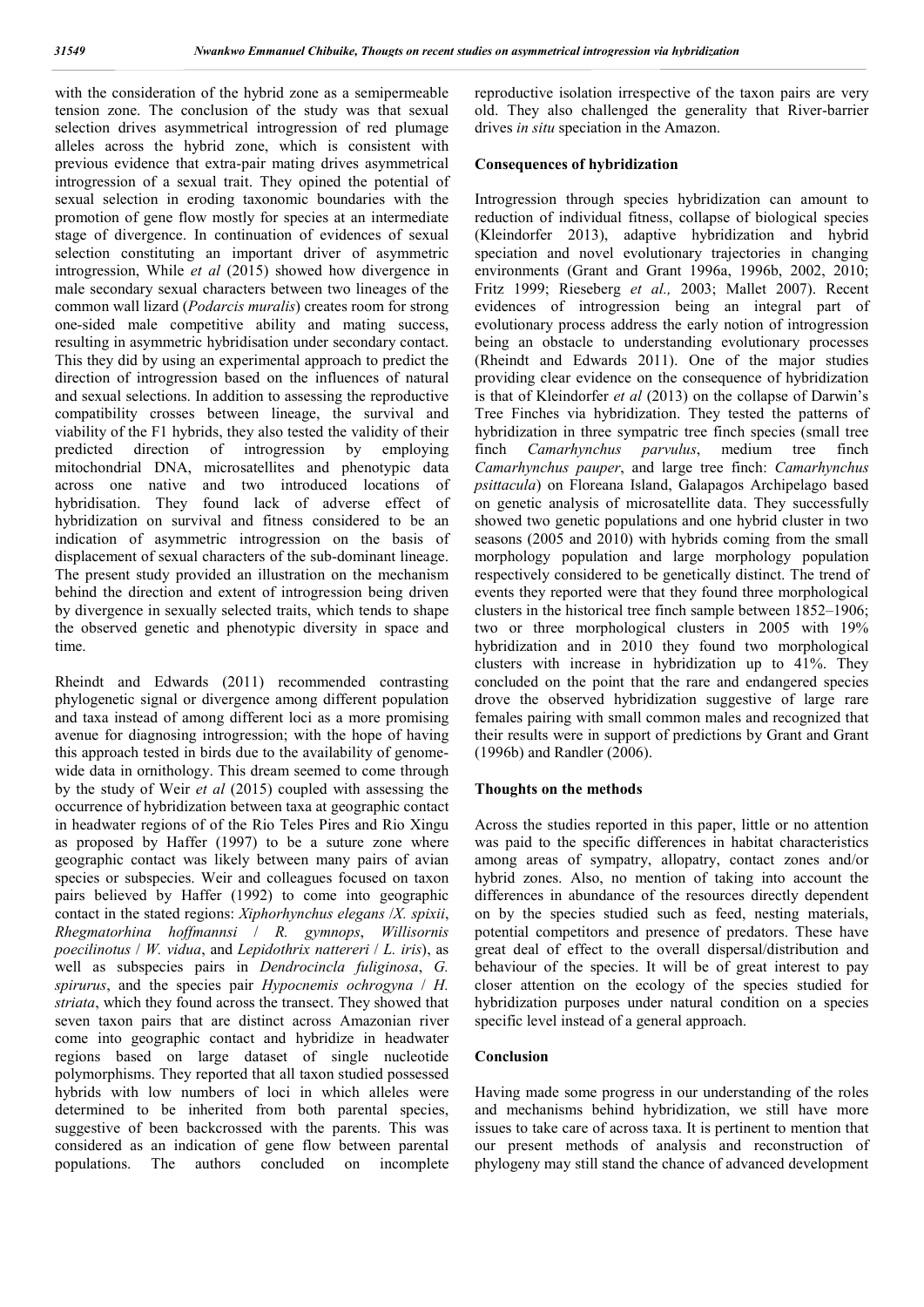with the consideration of the hybrid zone as a semipermeable tension zone. The conclusion of the study was that sexual selection drives asymmetrical introgression of red plumage alleles across the hybrid zone, which is consistent with previous evidence that extra-pair mating drives asymmetrical introgression of a sexual trait. They opined the potential of sexual selection in eroding taxonomic boundaries with the promotion of gene flow mostly for species at an intermediate stage of divergence. In continuation of evidences of sexual selection constituting an important driver of asymmetric introgression, While *et al* (2015) showed how divergence in male secondary sexual characters between two lineages of the common wall lizard (*Podarcis muralis*) creates room for strong one-sided male competitive ability and mating success, resulting in asymmetric hybridisation under secondary contact. This they did by using an experimental approach to predict the direction of introgression based on the influences of natural and sexual selections. In addition to assessing the reproductive compatibility crosses between lineage, the survival and viability of the F1 hybrids, they also tested the validity of their<br>predicted direction of introgression by employing direction of introgression by employing mitochondrial DNA, microsatellites and phenotypic data across one native and two introduced locations of hybridisation. They found lack of adverse effect of hybridization on survival and fitness considered to be an indication of asymmetric introgression on the basis of displacement of sexual characters of the sub-dominant lineage. The present study provided an illustration on the mechanism behind the direction and extent of introgression being driven by divergence in sexually selected traits, which tends to shape the observed genetic and phenotypic diversity in space and time.

Rheindt and Edwards (2011) recommended contrasting phylogenetic signal or divergence among different population and taxa instead of among different loci as a more promising avenue for diagnosing introgression; with the hope of having this approach tested in birds due to the availability of genomewide data in ornithology. This dream seemed to come through by the study of Weir *et al* (2015) coupled with assessing the occurrence of hybridization between taxa at geographic contact in headwater regions of of the Rio Teles Pires and Rio Xingu as proposed by Haffer (1997) to be a suture zone where geographic contact was likely between many pairs of avian species or subspecies. Weir and colleagues focused on taxon pairs believed by Haffer (1992) to come into geographic contact in the stated regions: *Xiphorhynchus elegans* /*X. spixii*, *Rhegmatorhina hoffmannsi* / *R. gymnops*, *Willisornis poecilinotus* / *W. vidua*, and *Lepidothrix nattereri* / *L. iris*), as well as subspecies pairs in *Dendrocincla fuliginosa*, *G. spirurus*, and the species pair *Hypocnemis ochrogyna* / *H. striata*, which they found across the transect. They showed that seven taxon pairs that are distinct across Amazonian river come into geographic contact and hybridize in headwater regions based on large dataset of single nucleotide polymorphisms. They reported that all taxon studied possessed hybrids with low numbers of loci in which alleles were determined to be inherited from both parental species, suggestive of been backcrossed with the parents. This was considered as an indication of gene flow between parental populations. The authors concluded on incomplete reproductive isolation irrespective of the taxon pairs are very old. They also challenged the generality that River-barrier drives *in situ* speciation in the Amazon.

#### **Consequences of hybridization**

Introgression through species hybridization can amount to reduction of individual fitness, collapse of biological species (Kleindorfer 2013), adaptive hybridization and hybrid speciation and novel evolutionary trajectories in changing environments (Grant and Grant 1996a, 1996b, 2002, 2010; Fritz 1999; Rieseberg *et al.,* 2003; Mallet 2007). Recent evidences of introgression being an integral part of evolutionary process address the early notion of introgression being an obstacle to understanding evolutionary processes (Rheindt and Edwards 2011). One of the major studies providing clear evidence on the consequence of hybridization is that of Kleindorfer *et al* (2013) on the collapse of Darwin's Tree Finches via hybridization. They tested the patterns of hybridization in three sympatric tree finch species (small tree finch *Camarhynchus parvulus*, medium tree finch *Camarhynchus pauper*, and large tree finch: *Camarhynchus psittacula*) on Floreana Island, Galapagos Archipelago based on genetic analysis of microsatellite data. They successfully showed two genetic populations and one hybrid cluster in two seasons (2005 and 2010) with hybrids coming from the small morphology population and large morphology population respectively considered to be genetically distinct. The trend of events they reported were that they found three morphological clusters in the historical tree finch sample between 1852–1906; two or three morphological clusters in 2005 with 19% hybridization and in 2010 they found two morphological clusters with increase in hybridization up to 41%. They concluded on the point that the rare and endangered species drove the observed hybridization suggestive of large rare females pairing with small common males and recognized that their results were in support of predictions by Grant and Grant (1996b) and Randler (2006).

#### **Thoughts on the methods**

Across the studies reported in this paper, little or no attention was paid to the specific differences in habitat characteristics among areas of sympatry, allopatry, contact zones and/or hybrid zones. Also, no mention of taking into account the differences in abundance of the resources directly dependent on by the species studied such as feed, nesting materials, potential competitors and presence of predators. These have great deal of effect to the overall dispersal/distribution and behaviour of the species. It will be of great interest to pay closer attention on the ecology of the species studied for hybridization purposes under natural condition on a species specific level instead of a general approach.

#### **Conclusion**

Having made some progress in our understanding of the roles and mechanisms behind hybridization, we still have more issues to take care of across taxa. It is pertinent to mention that our present methods of analysis and reconstruction of phylogeny may still stand the chance of advanced development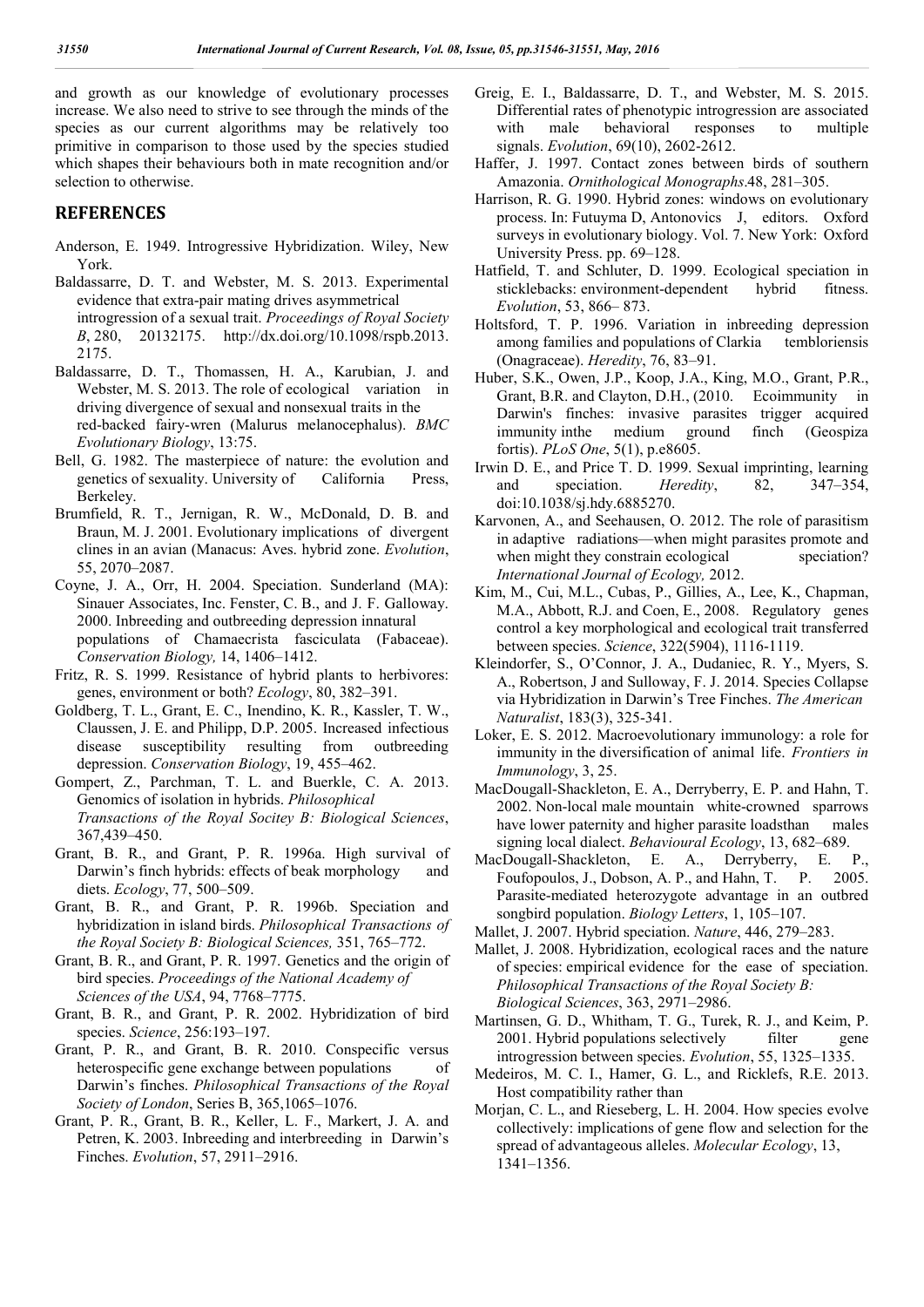and growth as our knowledge of evolutionary processes increase. We also need to strive to see through the minds of the species as our current algorithms may be relatively too primitive in comparison to those used by the species studied which shapes their behaviours both in mate recognition and/or selection to otherwise.

### **REFERENCES**

- Anderson, E. 1949. Introgressive Hybridization. Wiley, New York.
- Baldassarre, D. T. and Webster, M. S. 2013. Experimental evidence that extra-pair mating drives asymmetrical introgression of a sexual trait. *Proceedings of Royal Society B*, 280, 20132175. http://dx.doi.org/10.1098/rspb.2013. 2175.
- Baldassarre, D. T., Thomassen, H. A., Karubian, J. and Webster, M. S. 2013. The role of ecological variation in driving divergence of sexual and nonsexual traits in the red-backed fairy-wren (Malurus melanocephalus). *BMC Evolutionary Biology*, 13:75.
- Bell, G. 1982. The masterpiece of nature: the evolution and genetics of sexuality. University of California Press, Berkeley.
- Brumfield, R. T., Jernigan, R. W., McDonald, D. B. and Braun, M. J. 2001. Evolutionary implications of divergent clines in an avian (Manacus: Aves. hybrid zone. *Evolution*, 55, 2070–2087.
- Coyne, J. A., Orr, H. 2004. Speciation. Sunderland (MA): Sinauer Associates, Inc. Fenster, C. B., and J. F. Galloway. 2000. Inbreeding and outbreeding depression innatural populations of Chamaecrista fasciculata (Fabaceae). *Conservation Biology,* 14, 1406–1412.
- Fritz, R. S. 1999. Resistance of hybrid plants to herbivores: genes, environment or both? *Ecology*, 80, 382–391.
- Goldberg, T. L., Grant, E. C., Inendino, K. R., Kassler, T. W., Claussen, J. E. and Philipp, D.P. 2005. Increased infectious disease susceptibility resulting from outbreeding depression. *Conservation Biology*, 19, 455–462.
- Gompert, Z., Parchman, T. L. and Buerkle, C. A. 2013. Genomics of isolation in hybrids. *Philosophical Transactions of the Royal Socitey B: Biological Sciences*, 367,439–450.
- Grant, B. R., and Grant, P. R. 1996a. High survival of Darwin's finch hybrids: effects of beak morphology and diets. *Ecology*, 77, 500–509.
- Grant, B. R., and Grant, P. R. 1996b. Speciation and hybridization in island birds. *Philosophical Transactions of the Royal Society B: Biological Sciences,* 351, 765–772.
- Grant, B. R., and Grant, P. R. 1997. Genetics and the origin of bird species. *Proceedings of the National Academy of Sciences of the USA*, 94, 7768–7775.
- Grant, B. R., and Grant, P. R. 2002. Hybridization of bird species. *Science*, 256:193–197.
- Grant, P. R., and Grant, B. R. 2010. Conspecific versus heterospecific gene exchange between populations of Darwin's finches. *Philosophical Transactions of the Royal Society of London*, Series B, 365,1065–1076.
- Grant, P. R., Grant, B. R., Keller, L. F., Markert, J. A. and Petren, K. 2003. Inbreeding and interbreeding in Darwin's Finches. *Evolution*, 57, 2911–2916.
- Greig, E. I., Baldassarre, D. T., and Webster, M. S. 2015. Differential rates of phenotypic introgression are associated with male behavioral responses to multiple signals. *Evolution*, 69(10), 2602-2612.
- Haffer, J. 1997. Contact zones between birds of southern Amazonia. *Ornithological Monographs*.48, 281–305.
- Harrison, R. G. 1990. Hybrid zones: windows on evolutionary process. In: Futuyma D, Antonovics J, editors. Oxford surveys in evolutionary biology. Vol. 7. New York: Oxford University Press. pp. 69–128.
- Hatfield, T. and Schluter, D. 1999. Ecological speciation in sticklebacks: environment-dependent hybrid fitness. *Evolution*, 53, 866– 873.
- Holtsford, T. P. 1996. Variation in inbreeding depression among families and populations of Clarkia tembloriensis (Onagraceae). *Heredity*, 76, 83–91.
- Huber, S.K., Owen, J.P., Koop, J.A., King, M.O., Grant, P.R., Grant, B.R. and Clayton, D.H., (2010. Ecoimmunity in Darwin's finches: invasive parasites trigger acquired immunity inthe medium ground finch (Geospiza fortis). *PLoS One*, 5(1), p.e8605.
- Irwin D. E., and Price T. D. 1999. Sexual imprinting, learning and speciation. *Heredity*, 82, 347–354, doi:10.1038/sj.hdy.6885270.
- Karvonen, A., and Seehausen, O. 2012. The role of parasitism in adaptive radiations—when might parasites promote and when might they constrain ecological speciation? *International Journal of Ecology,* 2012.
- Kim, M., Cui, M.L., Cubas, P., Gillies, A., Lee, K., Chapman, M.A., Abbott, R.J. and Coen, E., 2008. Regulatory genes control a key morphological and ecological trait transferred between species. *Science*, 322(5904), 1116-1119.
- Kleindorfer, S., O'Connor, J. A., Dudaniec, R. Y., Myers, S. A., Robertson, J and Sulloway, F. J. 2014. Species Collapse via Hybridization in Darwin's Tree Finches. *The American Naturalist*, 183(3), 325-341.
- Loker, E. S. 2012. Macroevolutionary immunology: a role for immunity in the diversification of animal life. *Frontiers in Immunology*, 3, 25.
- MacDougall-Shackleton, E. A., Derryberry, E. P. and Hahn, T. 2002. Non-local male mountain white-crowned sparrows have lower paternity and higher parasite loadsthan males signing local dialect. *Behavioural Ecology*, 13, 682–689.
- MacDougall-Shackleton, E. A., Derryberry, E. P., Foufopoulos, J., Dobson, A. P., and Hahn, T. P. 2005. Parasite-mediated heterozygote advantage in an outbred songbird population. *Biology Letters*, 1, 105–107.

Mallet, J. 2007. Hybrid speciation. *Nature*, 446, 279–283.

- Mallet, J. 2008. Hybridization, ecological races and the nature of species: empirical evidence for the ease of speciation. *Philosophical Transactions of the Royal Society B: Biological Sciences*, 363, 2971–2986.
- Martinsen, G. D., Whitham, T. G., Turek, R. J., and Keim, P. 2001. Hybrid populations selectively filter gene introgression between species. *Evolution*, 55, 1325–1335.
- Medeiros, M. C. I., Hamer, G. L., and Ricklefs, R.E. 2013. Host compatibility rather than
- Morjan, C. L., and Rieseberg, L. H. 2004. How species evolve collectively: implications of gene flow and selection for the spread of advantageous alleles. *Molecular Ecology*, 13, 1341–1356.